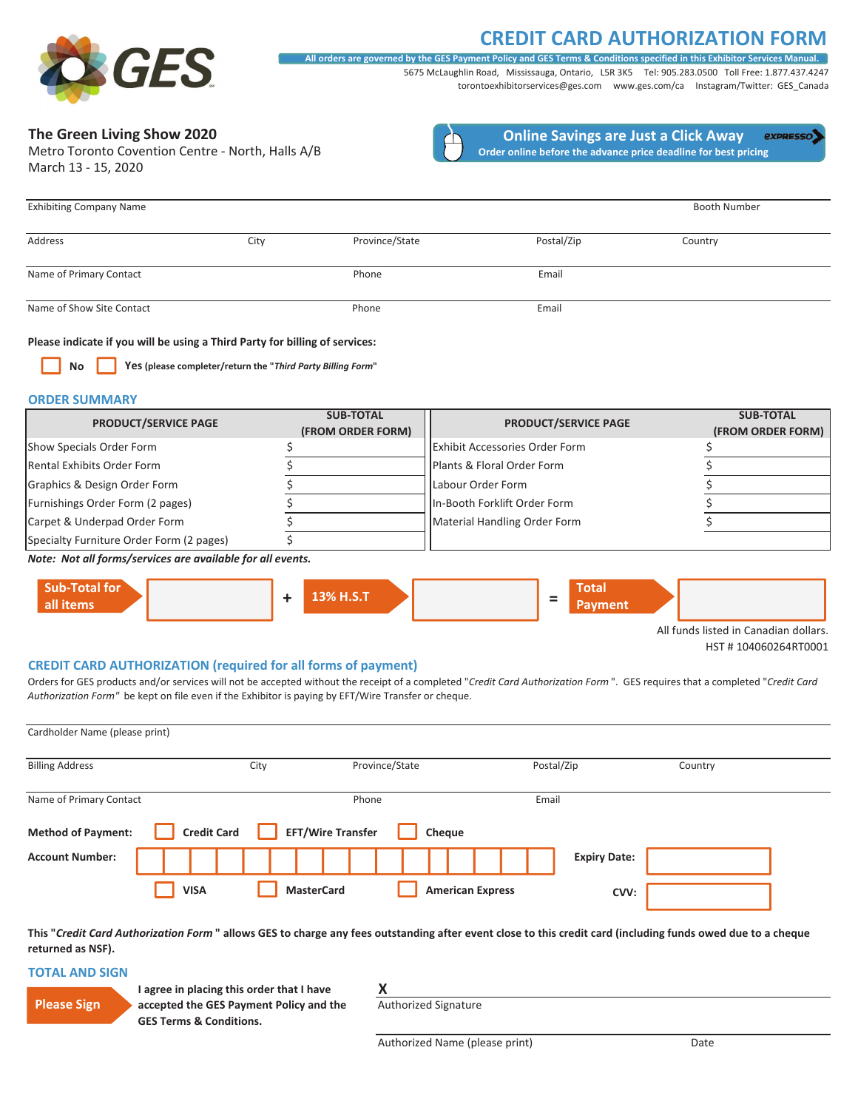## **CREDIT CARD AUTHORIZATION FORM**



5675 McLaughlin Road, Mississauga, Ontario, L5R 3K5 Tel: 905.283.0500 Toll Free: 1.877.437.4247 All orders are governed by the GES Payment Policy and GES Terms & Conditions specified in this Exhibitor Ser

torontoexhibitorservices@ges.com www.ges.com/ca Instagram/Twitter: GES\_Canada

## **The Green Living Show 2020**

March 13 - 15, 2020 Metro Toronto Covention Centre - North, Halls A/B



**Online Savings are Just a Click Away** expresso) **Order online before the advance price deadline for best pricing**

| <b>Exhibiting Company Name</b> |      |                |            | <b>Booth Number</b> |
|--------------------------------|------|----------------|------------|---------------------|
| Address                        | City | Province/State | Postal/Zip | Country             |
| Name of Primary Contact        |      | Phone          | Email      |                     |
| Name of Show Site Contact      |      | Phone          | Email      |                     |

#### **Please indicate if you will be using a Third Party for billing of services:**

**No Yes (please completer/return the "***Third Party Billing Form***"**

#### **ORDER SUMMARY**

| <b>PRODUCT/SERVICE PAGE</b>              | <b>SUB-TOTAL</b><br>(FROM ORDER FORM) | <b>PRODUCT/SERVICE PAGE</b>           | <b>SUB-TOTAL</b><br>(FROM ORDER FORM) |
|------------------------------------------|---------------------------------------|---------------------------------------|---------------------------------------|
| Show Specials Order Form                 |                                       | <b>Exhibit Accessories Order Form</b> |                                       |
| Rental Exhibits Order Form               |                                       | Plants & Floral Order Form            |                                       |
| Graphics & Design Order Form             |                                       | Labour Order Form                     |                                       |
| Furnishings Order Form (2 pages)         |                                       | In-Booth Forklift Order Form          |                                       |
| Carpet & Underpad Order Form             |                                       | Material Handling Order Form          |                                       |
| Specialty Furniture Order Form (2 pages) |                                       |                                       |                                       |

*Note:Not all forms/services are available for all events.*



All funds listed in Canadian dollars. HST # 104060264RT0001

#### **CREDIT CARD AUTHORIZATION (required for all forms of payment)**

Orders for GES products and/or services will not be accepted without the receipt of a completed "*Credit Card Authorization Form* ".GES requires that a completed "*Credit Card Authorization Form"* be kept on file even if the Exhibitor is paying by EFT/Wire Transfer or cheque.

| Cardholder Name (please print) |                    |                          |                         |                     |         |
|--------------------------------|--------------------|--------------------------|-------------------------|---------------------|---------|
| <b>Billing Address</b>         |                    | City                     | Province/State          | Postal/Zip          | Country |
| Name of Primary Contact        |                    |                          | Phone                   | Email               |         |
| <b>Method of Payment:</b>      | <b>Credit Card</b> | <b>EFT/Wire Transfer</b> | Cheque                  |                     |         |
| <b>Account Number:</b>         |                    |                          |                         | <b>Expiry Date:</b> |         |
|                                | <b>VISA</b>        | <b>MasterCard</b>        | <b>American Express</b> | CVV:                |         |

This "Credit Card Authorization Form" allows GES to charge any fees outstanding after event close to this credit card (including funds owed due to a cheque **returned as NSF).**

#### **TOTAL AND SIGN**

| <b>Please Sign</b> |  |
|--------------------|--|
|                    |  |

**I agree in placing this order that I have accepted the GES Payment Policy and the GES Terms & Conditions.**

**X**

Authorized Signature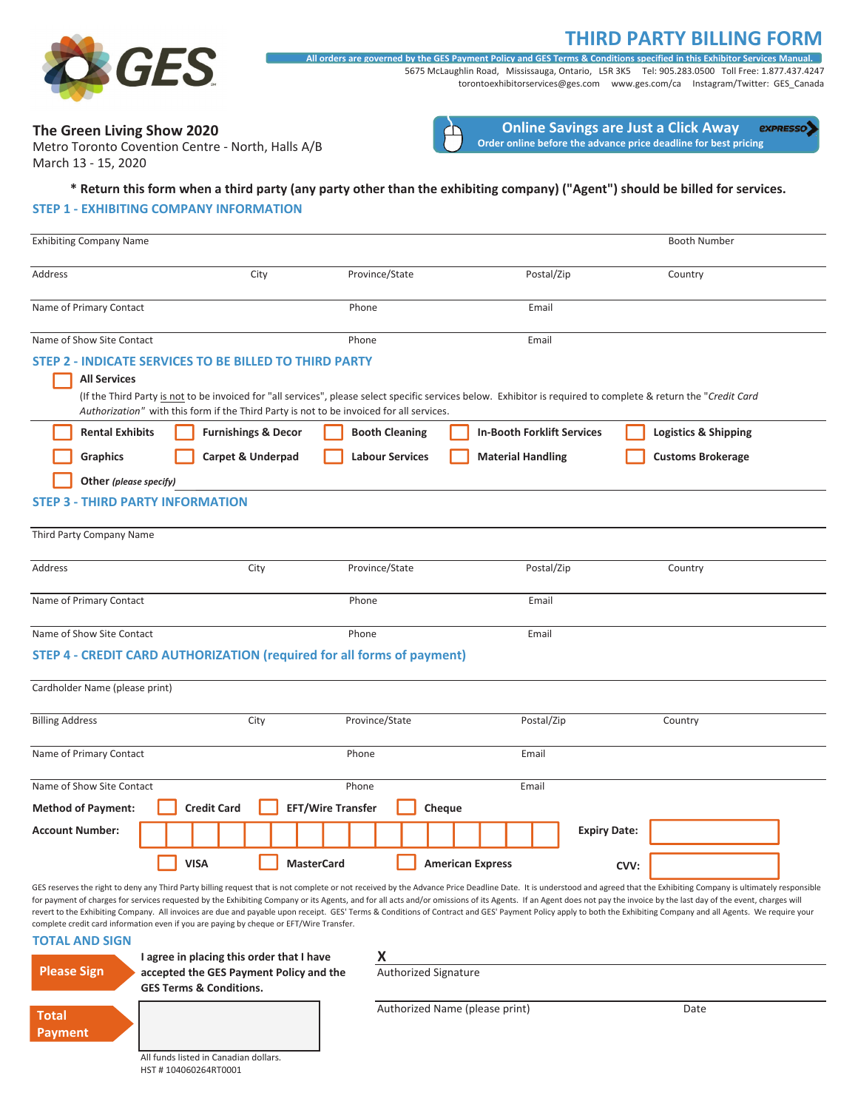## **THIRD PARTY BILLING FORM**



5675 McLaughlin Road, Mississauga, Ontario, L5R 3K5 Tel: 905.283.0500 Toll Free: 1.877.437.4247 torontoexhibitorservices@ges.com www.ges.com/ca Instagram/Twitter: GES\_Canada All orders are governed by the GES Payment Policy and GES Terms & Conditions specified in this Exhibitor Services Man

## **The Green Living Show 2020**

March 13 - 15, 2020 Metro Toronto Covention Centre - North, Halls A/B



#### \* Return this form when a third party (any party other than the exhibiting company) ("Agent") should be billed for services.

#### **STEP 1 - EXHIBITING COMPANY INFORMATION**

| <b>Exhibiting Company Name</b> |                                |                                                                                                                                                    |                        |                                                                                                                                                                  |                     | <b>Booth Number</b>             |  |
|--------------------------------|--------------------------------|----------------------------------------------------------------------------------------------------------------------------------------------------|------------------------|------------------------------------------------------------------------------------------------------------------------------------------------------------------|---------------------|---------------------------------|--|
| Address                        |                                | City                                                                                                                                               | Province/State         | Postal/Zip                                                                                                                                                       |                     | Country                         |  |
| Name of Primary Contact        |                                | Phone                                                                                                                                              |                        | Email                                                                                                                                                            |                     |                                 |  |
| Name of Show Site Contact      |                                | Phone                                                                                                                                              |                        | Email                                                                                                                                                            |                     |                                 |  |
| <b>All Services</b>            |                                | STEP 2 - INDICATE SERVICES TO BE BILLED TO THIRD PARTY<br>Authorization" with this form if the Third Party is not to be invoiced for all services. |                        | (If the Third Party is not to be invoiced for "all services", please select specific services below. Exhibitor is required to complete & return the "Credit Card |                     |                                 |  |
| <b>Rental Exhibits</b>         | <b>Furnishings &amp; Decor</b> |                                                                                                                                                    | <b>Booth Cleaning</b>  | <b>In-Booth Forklift Services</b>                                                                                                                                |                     | <b>Logistics &amp; Shipping</b> |  |
| Graphics                       | Carpet & Underpad              |                                                                                                                                                    | <b>Labour Services</b> | <b>Material Handling</b>                                                                                                                                         |                     | <b>Customs Brokerage</b>        |  |
| Other (please specify)         |                                |                                                                                                                                                    |                        |                                                                                                                                                                  |                     |                                 |  |
| <b>STEP 3</b>                  | - THIRD PARTY INFORMATION      |                                                                                                                                                    |                        |                                                                                                                                                                  |                     |                                 |  |
| Third Party Company Name       |                                |                                                                                                                                                    |                        |                                                                                                                                                                  |                     |                                 |  |
| Address                        |                                | City                                                                                                                                               | Province/State         | Postal/Zip                                                                                                                                                       |                     | Country                         |  |
| Name of Primary Contact        |                                | Phone                                                                                                                                              |                        | Email                                                                                                                                                            |                     |                                 |  |
| Name of Show Site Contact      |                                | Phone                                                                                                                                              |                        | Email                                                                                                                                                            |                     |                                 |  |
|                                |                                | <b>STEP 4 - CREDIT CARD AUTHORIZATION (required for all forms of payment)</b>                                                                      |                        |                                                                                                                                                                  |                     |                                 |  |
| Cardholder Name (please print) |                                |                                                                                                                                                    |                        |                                                                                                                                                                  |                     |                                 |  |
| <b>Billing Address</b>         |                                | City                                                                                                                                               | Province/State         | Postal/Zip                                                                                                                                                       |                     | Country                         |  |
| Name of Primary Contact        |                                | Phone                                                                                                                                              |                        | Email                                                                                                                                                            |                     |                                 |  |
| Name of Show Site Contact      |                                | Phone                                                                                                                                              |                        | Email                                                                                                                                                            |                     |                                 |  |
| <b>Method of Payment:</b>      | <b>Credit Card</b>             | <b>EFT/Wire Transfer</b>                                                                                                                           | Cheque                 |                                                                                                                                                                  |                     |                                 |  |
| <b>Account Number:</b>         |                                |                                                                                                                                                    |                        |                                                                                                                                                                  | <b>Expiry Date:</b> |                                 |  |
|                                | <b>VISA</b>                    | <b>MasterCard</b>                                                                                                                                  |                        | <b>American Express</b>                                                                                                                                          | CVV:                |                                 |  |

GES reserves the right to deny any Third Party billing request that is not complete or not received by the Advance Price Deadline Date. It is understood and agreed that the Exhibiting Company is ultimately responsible for payment of charges for services requested by the Exhibiting Company or its Agents, and for all acts and/or omissions of its Agents. If an Agent does not pay the invoice by the last day of the event, charges will revert to the Exhibiting Company. All invoices are due and payable upon receipt. GES' Terms & Conditions of Contract and GES' Payment Policy apply to both the Exhibiting Company and all Agents. We require your complete credit card information even if you are paying by cheque or EFT/Wire Transfer.

#### **TOTAL AND SIGN**



**I agree in placing this order that I have accepted the GES Payment Policy and the GES Terms & Conditions.**

**X** Authorized Signature

All funds listed in Canadian dollars. HST # 104060264RT0001

#### Authorized Name (please print) Date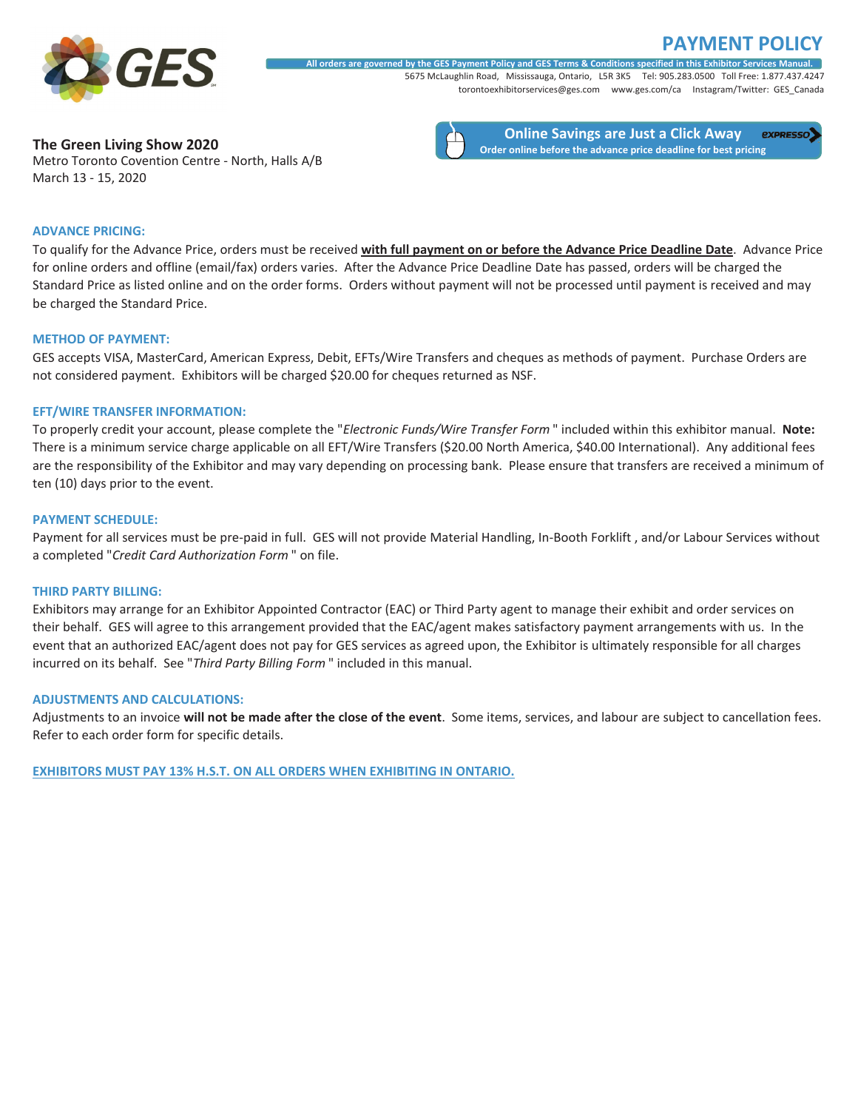# **POLICY**

**expresso** 



5675 McLaughlin Road, Mississauga, Ontario, L5R 3K5 Tel: 905.283.0500 Toll Free: 1.877.437.4247 torontoexhibitorservices@ges.com www.ges.com/ca Instagram/Twitter: GES\_Canada All orders are governed by the GES Payment Policy and GES Terms & Conditions specified in this Exhibitor Services Manual.

**The Green Living Show 2020**

**Online Savings are Just a Click Away Order online before the advance price deadline for best pricing**

Metro Toronto Covention Centre - North, Halls A/B March 13 - 15, 2020

## **ADVANCE PRICING:**

To qualify for the Advance Price, orders must be received **with full payment on or before the Advance Price Deadline Date**.Advance Price for online orders and offline (email/fax) orders varies. After the Advance Price Deadline Date has passed, orders will be charged the Standard Price as listed online and on the order forms. Orders without payment will not be processed until payment is received and may be charged the Standard Price.

#### **METHOD OF PAYMENT:**

GES accepts VISA, MasterCard, American Express, Debit, EFTs/Wire Transfers and cheques as methods of payment. Purchase Orders are not considered payment. Exhibitors will be charged \$20.00 for cheques returned as NSF.

#### **EFT/WIRE TRANSFER INFORMATION:**

To properly credit your account, please complete the "*Electronic Funds/Wire Transfer Form* " included within this exhibitor manual.**Note:** There is a minimum service charge applicable on all EFT/Wire Transfers (\$20.00 North America, \$40.00 International). Any additional fees are the responsibility of the Exhibitor and may vary depending on processing bank. Please ensure that transfers are received a minimum of ten (10) days prior to the event.

### **PAYMENT SCHEDULE:**

Payment for all services must be pre-paid in full. GES will not provide Material Handling, In-Booth Forklift , and/or Labour Services without a completed "*Credit Card Authorization Form* " on file.

#### **THIRD PARTY BILLING:**

Exhibitors may arrange for an Exhibitor Appointed Contractor (EAC) or Third Party agent to manage their exhibit and order services on their behalf. GES will agree to this arrangement provided that the EAC/agent makes satisfactory payment arrangements with us. In the event that an authorized EAC/agent does not pay for GES services as agreed upon, the Exhibitor is ultimately responsible for all charges incurred on its behalf. See "*Third Party Billing Form* " included in this manual.

#### **ADJUSTMENTS AND CALCULATIONS:**

Adjustments to an invoice will not be made after the close of the event. Some items, services, and labour are subject to cancellation fees. Refer to each order form for specific details.

**EXHIBITORS MUST PAY 13% H.S.T. ON ALL ORDERS WHEN EXHIBITING IN ONTARIO.**